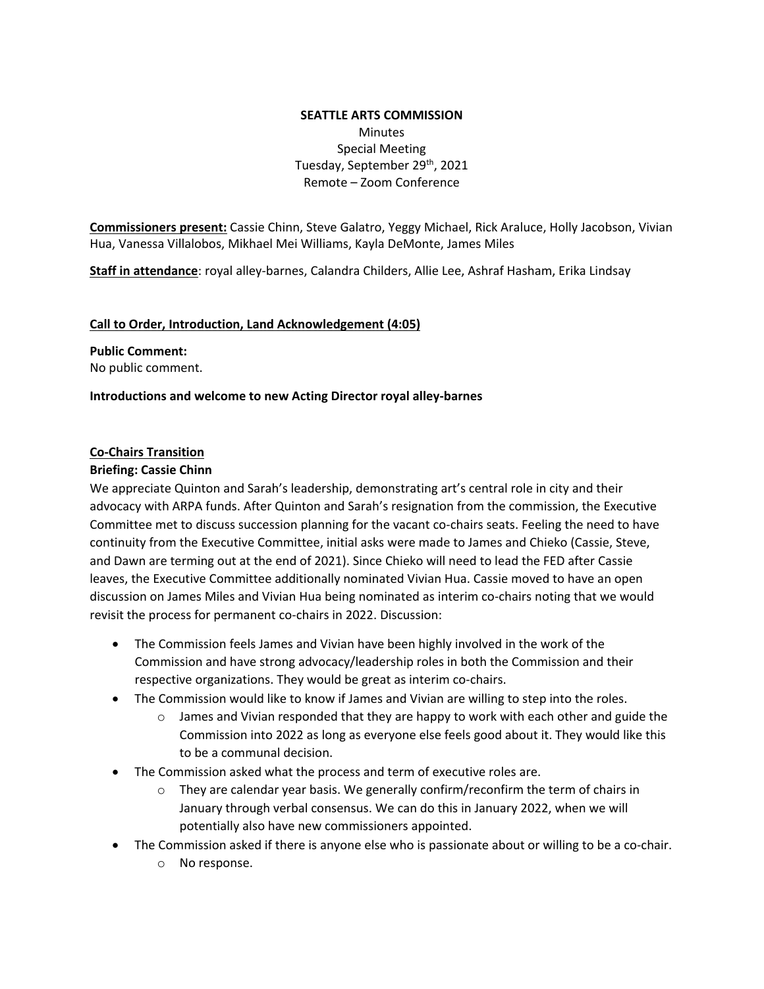# **SEATTLE ARTS COMMISSION Minutes** Special Meeting Tuesday, September 29<sup>th</sup>, 2021 Remote – Zoom Conference

**Commissioners present:** Cassie Chinn, Steve Galatro, Yeggy Michael, Rick Araluce, Holly Jacobson, Vivian Hua, Vanessa Villalobos, Mikhael Mei Williams, Kayla DeMonte, James Miles

**Staff in attendance**: royal alley-barnes, Calandra Childers, Allie Lee, Ashraf Hasham, Erika Lindsay

#### **Call to Order, Introduction, Land Acknowledgement (4:05)**

#### **Public Comment:**

No public comment.

#### **Introductions and welcome to new Acting Director royal alley-barnes**

#### **Co-Chairs Transition**

### **Briefing: Cassie Chinn**

We appreciate Quinton and Sarah's leadership, demonstrating art's central role in city and their advocacy with ARPA funds. After Quinton and Sarah's resignation from the commission, the Executive Committee met to discuss succession planning for the vacant co-chairs seats. Feeling the need to have continuity from the Executive Committee, initial asks were made to James and Chieko (Cassie, Steve, and Dawn are terming out at the end of 2021). Since Chieko will need to lead the FED after Cassie leaves, the Executive Committee additionally nominated Vivian Hua. Cassie moved to have an open discussion on James Miles and Vivian Hua being nominated as interim co-chairs noting that we would revisit the process for permanent co-chairs in 2022. Discussion:

- The Commission feels James and Vivian have been highly involved in the work of the Commission and have strong advocacy/leadership roles in both the Commission and their respective organizations. They would be great as interim co-chairs.
- The Commission would like to know if James and Vivian are willing to step into the roles.
	- $\circ$  James and Vivian responded that they are happy to work with each other and guide the Commission into 2022 as long as everyone else feels good about it. They would like this to be a communal decision.
- The Commission asked what the process and term of executive roles are.
	- $\circ$  They are calendar year basis. We generally confirm/reconfirm the term of chairs in January through verbal consensus. We can do this in January 2022, when we will potentially also have new commissioners appointed.
- The Commission asked if there is anyone else who is passionate about or willing to be a co-chair.
	- o No response.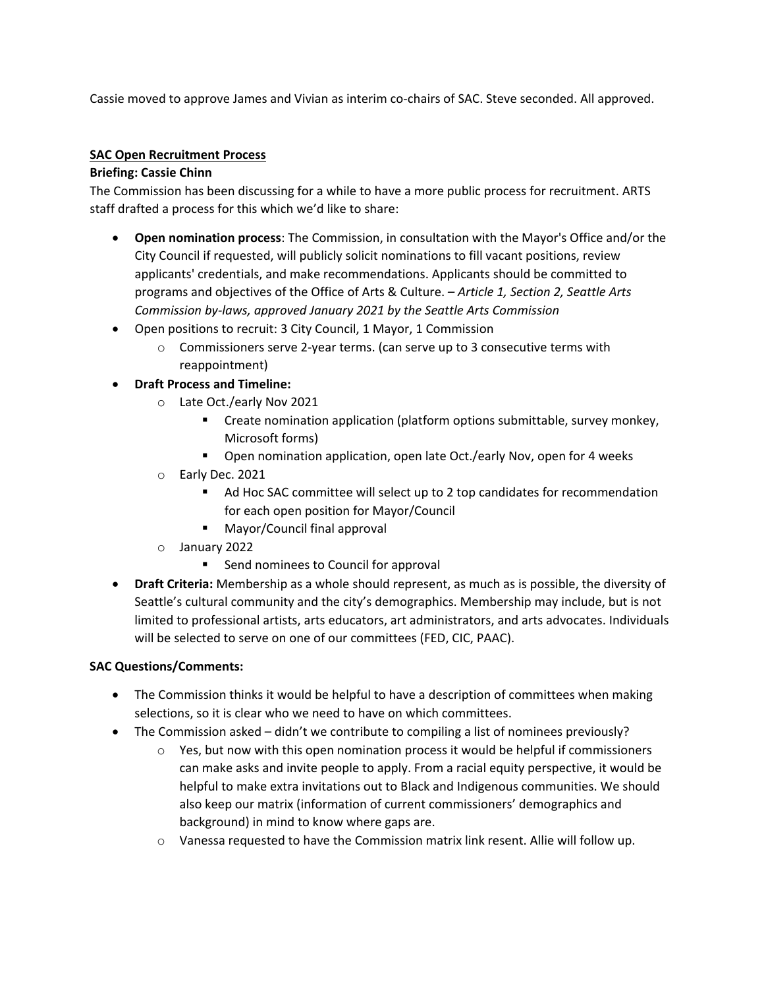Cassie moved to approve James and Vivian as interim co-chairs of SAC. Steve seconded. All approved.

### **SAC Open Recruitment Process**

### **Briefing: Cassie Chinn**

The Commission has been discussing for a while to have a more public process for recruitment. ARTS staff drafted a process for this which we'd like to share:

- **Open nomination process**: The Commission, in consultation with the Mayor's Office and/or the City Council if requested, will publicly solicit nominations to fill vacant positions, review applicants' credentials, and make recommendations. Applicants should be committed to programs and objectives of the Office of Arts & Culture. *– Article 1, Section 2, Seattle Arts Commission by-laws, approved January 2021 by the Seattle Arts Commission*
- Open positions to recruit: 3 City Council, 1 Mayor, 1 Commission
	- $\circ$  Commissioners serve 2-year terms. (can serve up to 3 consecutive terms with reappointment)
- **Draft Process and Timeline:** 
	- o Late Oct./early Nov 2021
		- Create nomination application (platform options submittable, survey monkey, Microsoft forms)
		- **•** Open nomination application, open late Oct./early Nov, open for 4 weeks
	- o Early Dec. 2021
		- Ad Hoc SAC committee will select up to 2 top candidates for recommendation for each open position for Mayor/Council
		- **Mayor/Council final approval**
	- o January 2022
		- Send nominees to Council for approval
- **Draft Criteria:** Membership as a whole should represent, as much as is possible, the diversity of Seattle's cultural community and the city's demographics. Membership may include, but is not limited to professional artists, arts educators, art administrators, and arts advocates. Individuals will be selected to serve on one of our committees (FED, CIC, PAAC).

# **SAC Questions/Comments:**

- The Commission thinks it would be helpful to have a description of committees when making selections, so it is clear who we need to have on which committees.
- The Commission asked didn't we contribute to compiling a list of nominees previously?
	- $\circ$  Yes, but now with this open nomination process it would be helpful if commissioners can make asks and invite people to apply. From a racial equity perspective, it would be helpful to make extra invitations out to Black and Indigenous communities. We should also keep our matrix (information of current commissioners' demographics and background) in mind to know where gaps are.
	- o Vanessa requested to have the Commission matrix link resent. Allie will follow up.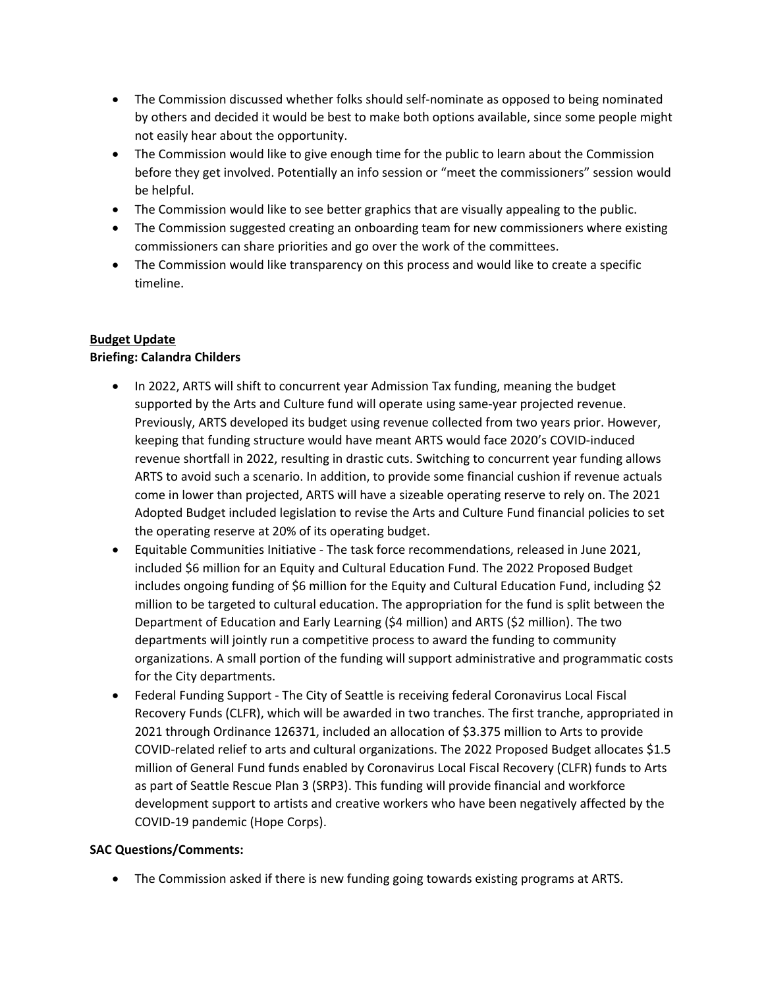- The Commission discussed whether folks should self-nominate as opposed to being nominated by others and decided it would be best to make both options available, since some people might not easily hear about the opportunity.
- The Commission would like to give enough time for the public to learn about the Commission before they get involved. Potentially an info session or "meet the commissioners" session would be helpful.
- The Commission would like to see better graphics that are visually appealing to the public.
- The Commission suggested creating an onboarding team for new commissioners where existing commissioners can share priorities and go over the work of the committees.
- The Commission would like transparency on this process and would like to create a specific timeline.

# **Budget Update**

# **Briefing: Calandra Childers**

- In 2022, ARTS will shift to concurrent year Admission Tax funding, meaning the budget supported by the Arts and Culture fund will operate using same-year projected revenue. Previously, ARTS developed its budget using revenue collected from two years prior. However, keeping that funding structure would have meant ARTS would face 2020's COVID-induced revenue shortfall in 2022, resulting in drastic cuts. Switching to concurrent year funding allows ARTS to avoid such a scenario. In addition, to provide some financial cushion if revenue actuals come in lower than projected, ARTS will have a sizeable operating reserve to rely on. The 2021 Adopted Budget included legislation to revise the Arts and Culture Fund financial policies to set the operating reserve at 20% of its operating budget.
- Equitable Communities Initiative The task force recommendations, released in June 2021, included \$6 million for an Equity and Cultural Education Fund. The 2022 Proposed Budget includes ongoing funding of \$6 million for the Equity and Cultural Education Fund, including \$2 million to be targeted to cultural education. The appropriation for the fund is split between the Department of Education and Early Learning (\$4 million) and ARTS (\$2 million). The two departments will jointly run a competitive process to award the funding to community organizations. A small portion of the funding will support administrative and programmatic costs for the City departments.
- Federal Funding Support The City of Seattle is receiving federal Coronavirus Local Fiscal Recovery Funds (CLFR), which will be awarded in two tranches. The first tranche, appropriated in 2021 through Ordinance 126371, included an allocation of \$3.375 million to Arts to provide COVID-related relief to arts and cultural organizations. The 2022 Proposed Budget allocates \$1.5 million of General Fund funds enabled by Coronavirus Local Fiscal Recovery (CLFR) funds to Arts as part of Seattle Rescue Plan 3 (SRP3). This funding will provide financial and workforce development support to artists and creative workers who have been negatively affected by the COVID-19 pandemic (Hope Corps).

### **SAC Questions/Comments:**

• The Commission asked if there is new funding going towards existing programs at ARTS.